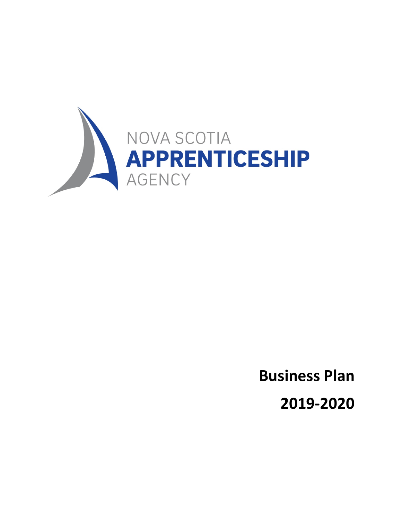

**Business Plan**

**2019-2020**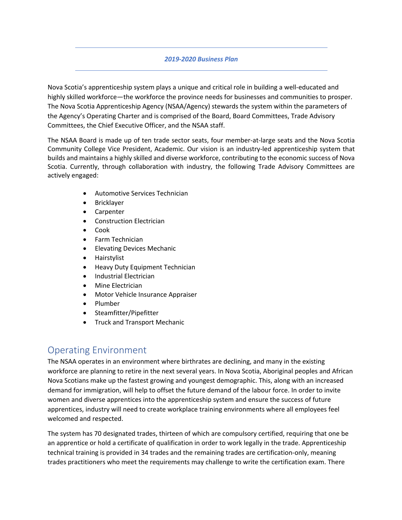#### *2019-2020 Business Plan*

Nova Scotia's apprenticeship system plays a unique and critical role in building a well-educated and highly skilled workforce—the workforce the province needs for businesses and communities to prosper. The Nova Scotia Apprenticeship Agency (NSAA/Agency) stewards the system within the parameters of the Agency's Operating Charter and is comprised of the Board, Board Committees, Trade Advisory Committees, the Chief Executive Officer, and the NSAA staff.

The NSAA Board is made up of ten trade sector seats, four member-at-large seats and the Nova Scotia Community College Vice President, Academic. Our vision is an industry-led apprenticeship system that builds and maintains a highly skilled and diverse workforce, contributing to the economic success of Nova Scotia. Currently, through collaboration with industry, the following Trade Advisory Committees are actively engaged:

- Automotive Services Technician
- **Bricklayer**
- Carpenter
- Construction Electrician
- Cook
- Farm Technician
- Elevating Devices Mechanic
- Hairstylist
- Heavy Duty Equipment Technician
- Industrial Electrician
- Mine Electrician
- Motor Vehicle Insurance Appraiser
- Plumber
- Steamfitter/Pipefitter
- Truck and Transport Mechanic

## Operating Environment

The NSAA operates in an environment where birthrates are declining, and many in the existing workforce are planning to retire in the next several years. In Nova Scotia, Aboriginal peoples and African Nova Scotians make up the fastest growing and youngest demographic. This, along with an increased demand for immigration, will help to offset the future demand of the labour force. In order to invite women and diverse apprentices into the apprenticeship system and ensure the success of future apprentices, industry will need to create workplace training environments where all employees feel welcomed and respected.

The system has 70 designated trades, thirteen of which are compulsory certified, requiring that one be an apprentice or hold a certificate of qualification in order to work legally in the trade. Apprenticeship technical training is provided in 34 trades and the remaining trades are certification-only, meaning trades practitioners who meet the requirements may challenge to write the certification exam. There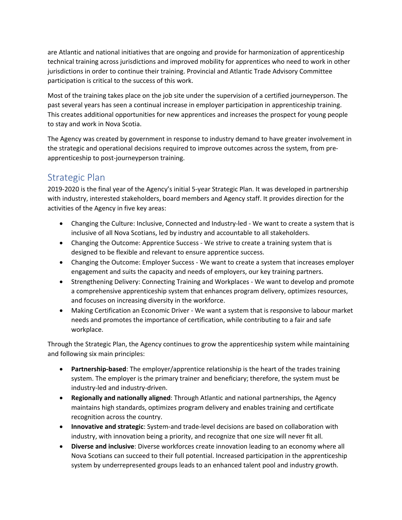are Atlantic and national initiatives that are ongoing and provide for harmonization of apprenticeship technical training across jurisdictions and improved mobility for apprentices who need to work in other jurisdictions in order to continue their training. Provincial and Atlantic Trade Advisory Committee participation is critical to the success of this work.

Most of the training takes place on the job site under the supervision of a certified journeyperson. The past several years has seen a continual increase in employer participation in apprenticeship training. This creates additional opportunities for new apprentices and increases the prospect for young people to stay and work in Nova Scotia.

The Agency was created by government in response to industry demand to have greater involvement in the strategic and operational decisions required to improve outcomes across the system, from preapprenticeship to post-journeyperson training.

## Strategic Plan

2019-2020 is the final year of the Agency's initial 5-year Strategic Plan. It was developed in partnership with industry, interested stakeholders, board members and Agency staff. It provides direction for the activities of the Agency in five key areas:

- Changing the Culture: Inclusive, Connected and Industry-led We want to create a system that is inclusive of all Nova Scotians, led by industry and accountable to all stakeholders.
- Changing the Outcome: Apprentice Success We strive to create a training system that is designed to be flexible and relevant to ensure apprentice success.
- Changing the Outcome: Employer Success We want to create a system that increases employer engagement and suits the capacity and needs of employers, our key training partners.
- Strengthening Delivery: Connecting Training and Workplaces We want to develop and promote a comprehensive apprenticeship system that enhances program delivery, optimizes resources, and focuses on increasing diversity in the workforce.
- Making Certification an Economic Driver We want a system that is responsive to labour market needs and promotes the importance of certification, while contributing to a fair and safe workplace.

Through the Strategic Plan, the Agency continues to grow the apprenticeship system while maintaining and following six main principles:

- **Partnership-based**: The employer/apprentice relationship is the heart of the trades training system. The employer is the primary trainer and beneficiary; therefore, the system must be industry-led and industry-driven.
- **Regionally and nationally aligned**: Through Atlantic and national partnerships, the Agency maintains high standards, optimizes program delivery and enables training and certificate recognition across the country.
- **Innovative and strategic**: System-and trade-level decisions are based on collaboration with industry, with innovation being a priority, and recognize that one size will never fit all.
- **Diverse and inclusive**: Diverse workforces create innovation leading to an economy where all Nova Scotians can succeed to their full potential. Increased participation in the apprenticeship system by underrepresented groups leads to an enhanced talent pool and industry growth.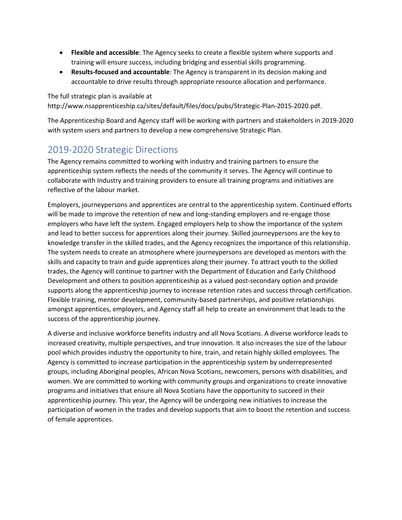- **Flexible and accessible**: The Agency seeks to create a flexible system where supports and training will ensure success, including bridging and essential skills programming.
- **Results-focused and accountable**: The Agency is transparent in its decision making and accountable to drive results through appropriate resource allocation and performance.

The full strategic plan is available at http://www.nsapprenticeship.ca/sites/default/files/docs/pubs/Strategic-Plan-2015-2020.pdf.

The Apprenticeship Board and Agency staff will be working with partners and stakeholders in 2019-2020 with system users and partners to develop a new comprehensive Strategic Plan.

## 2019-2020 Strategic Directions

The Agency remains committed to working with industry and training partners to ensure the apprenticeship system reflects the needs of the community it serves. The Agency will continue to collaborate with Industry and training providers to ensure all training programs and initiatives are reflective of the labour market.

Employers, journeypersons and apprentices are central to the apprenticeship system. Continued efforts will be made to improve the retention of new and long-standing employers and re-engage those employers who have left the system. Engaged employers help to show the importance of the system and lead to better success for apprentices along their journey. Skilled journeypersons are the key to knowledge transfer in the skilled trades, and the Agency recognizes the importance of this relationship. The system needs to create an atmosphere where journeypersons are developed as mentors with the skills and capacity to train and guide apprentices along their journey. To attract youth to the skilled trades, the Agency will continue to partner with the Department of Education and Early Childhood Development and others to position apprenticeship as a valued post-secondary option and provide supports along the apprenticeship journey to increase retention rates and success through certification. Flexible training, mentor development, community-based partnerships, and positive relationships amongst apprentices, employers, and Agency staff all help to create an environment that leads to the success of the apprenticeship journey.

A diverse and inclusive workforce benefits industry and all Nova Scotians. A diverse workforce leads to increased creativity, multiple perspectives, and true innovation. It also increases the size of the labour pool which provides industry the opportunity to hire, train, and retain highly skilled employees. The Agency is committed to increase participation in the apprenticeship system by underrepresented groups, including Aboriginal peoples, African Nova Scotians, newcomers, persons with disabilities, and women. We are committed to working with community groups and organizations to create innovative programs and initiatives that ensure all Nova Scotians have the opportunity to succeed in their apprenticeship journey. This year, the Agency will be undergoing new initiatives to increase the participation of women in the trades and develop supports that aim to boost the retention and success of female apprentices.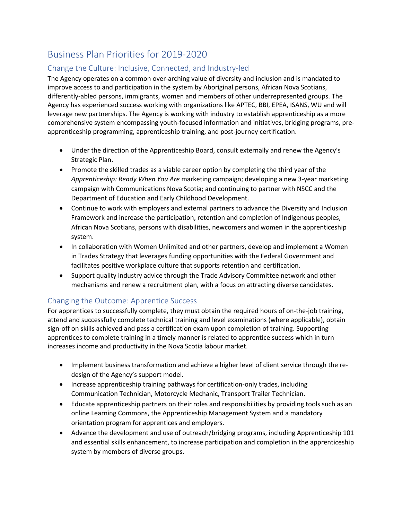# Business Plan Priorities for 2019-2020

### Change the Culture: Inclusive, Connected, and Industry-led

The Agency operates on a common over-arching value of diversity and inclusion and is mandated to improve access to and participation in the system by Aboriginal persons, African Nova Scotians, differently-abled persons, immigrants, women and members of other underrepresented groups. The Agency has experienced success working with organizations like APTEC, BBI, EPEA, ISANS, WU and will leverage new partnerships. The Agency is working with industry to establish apprenticeship as a more comprehensive system encompassing youth-focused information and initiatives, bridging programs, preapprenticeship programming, apprenticeship training, and post-journey certification.

- Under the direction of the Apprenticeship Board, consult externally and renew the Agency's Strategic Plan.
- Promote the skilled trades as a viable career option by completing the third year of the *Apprenticeship: Ready When You Are* marketing campaign; developing a new 3-year marketing campaign with Communications Nova Scotia; and continuing to partner with NSCC and the Department of Education and Early Childhood Development.
- Continue to work with employers and external partners to advance the Diversity and Inclusion Framework and increase the participation, retention and completion of Indigenous peoples, African Nova Scotians, persons with disabilities, newcomers and women in the apprenticeship system.
- In collaboration with Women Unlimited and other partners, develop and implement a Women in Trades Strategy that leverages funding opportunities with the Federal Government and facilitates positive workplace culture that supports retention and certification.
- Support quality industry advice through the Trade Advisory Committee network and other mechanisms and renew a recruitment plan, with a focus on attracting diverse candidates.

#### Changing the Outcome: Apprentice Success

For apprentices to successfully complete, they must obtain the required hours of on-the-job training, attend and successfully complete technical training and level examinations (where applicable), obtain sign-off on skills achieved and pass a certification exam upon completion of training. Supporting apprentices to complete training in a timely manner is related to apprentice success which in turn increases income and productivity in the Nova Scotia labour market.

- Implement business transformation and achieve a higher level of client service through the redesign of the Agency's support model.
- Increase apprenticeship training pathways for certification-only trades, including Communication Technician, Motorcycle Mechanic, Transport Trailer Technician.
- Educate apprenticeship partners on their roles and responsibilities by providing tools such as an online Learning Commons, the Apprenticeship Management System and a mandatory orientation program for apprentices and employers.
- Advance the development and use of outreach/bridging programs, including Apprenticeship 101 and essential skills enhancement, to increase participation and completion in the apprenticeship system by members of diverse groups.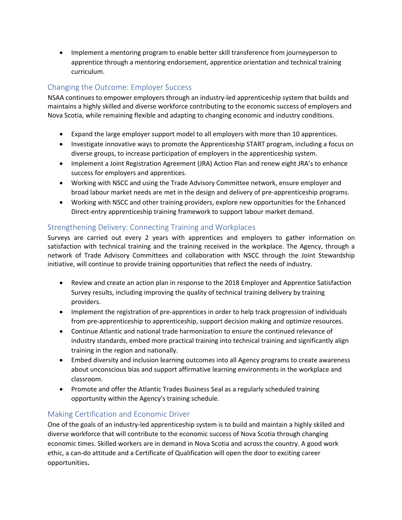• Implement a mentoring program to enable better skill transference from journeyperson to apprentice through a mentoring endorsement, apprentice orientation and technical training curriculum.

### Changing the Outcome: Employer Success

NSAA continues to empower employers through an industry-led apprenticeship system that builds and maintains a highly skilled and diverse workforce contributing to the economic success of employers and Nova Scotia, while remaining flexible and adapting to changing economic and industry conditions.

- Expand the large employer support model to all employers with more than 10 apprentices.
- Investigate innovative ways to promote the Apprenticeship START program, including a focus on diverse groups, to increase participation of employers in the apprenticeship system.
- Implement a Joint Registration Agreement (JRA) Action Plan and renew eight JRA's to enhance success for employers and apprentices.
- Working with NSCC and using the Trade Advisory Committee network, ensure employer and broad labour market needs are met in the design and delivery of pre-apprenticeship programs.
- Working with NSCC and other training providers, explore new opportunities for the Enhanced Direct-entry apprenticeship training framework to support labour market demand.

#### Strengthening Delivery: Connecting Training and Workplaces

Surveys are carried out every 2 years with apprentices and employers to gather information on satisfaction with technical training and the training received in the workplace. The Agency, through a network of Trade Advisory Committees and collaboration with NSCC through the Joint Stewardship initiative, will continue to provide training opportunities that reflect the needs of industry.

- Review and create an action plan in response to the 2018 Employer and Apprentice Satisfaction Survey results, including improving the quality of technical training delivery by training providers.
- Implement the registration of pre-apprentices in order to help track progression of individuals from pre-apprenticeship to apprenticeship, support decision making and optimize resources.
- Continue Atlantic and national trade harmonization to ensure the continued relevance of industry standards, embed more practical training into technical training and significantly align training in the region and nationally.
- Embed diversity and inclusion learning outcomes into all Agency programs to create awareness about unconscious bias and support affirmative learning environments in the workplace and classroom.
- Promote and offer the Atlantic Trades Business Seal as a regularly scheduled training opportunity within the Agency's training schedule.

#### Making Certification and Economic Driver

One of the goals of an industry-led apprenticeship system is to build and maintain a highly skilled and diverse workforce that will contribute to the economic success of Nova Scotia through changing economic times. Skilled workers are in demand in Nova Scotia and across the country. A good work ethic, a can-do attitude and a Certificate of Qualification will open the door to exciting career opportunities**.**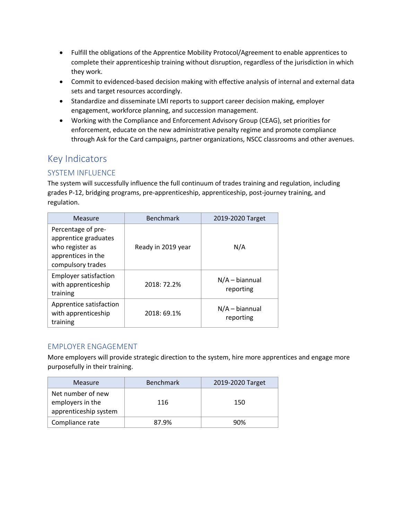- Fulfill the obligations of the Apprentice Mobility Protocol/Agreement to enable apprentices to complete their apprenticeship training without disruption, regardless of the jurisdiction in which they work.
- Commit to evidenced-based decision making with effective analysis of internal and external data sets and target resources accordingly.
- Standardize and disseminate LMI reports to support career decision making, employer engagement, workforce planning, and succession management.
- Working with the Compliance and Enforcement Advisory Group (CEAG), set priorities for enforcement, educate on the new administrative penalty regime and promote compliance through Ask for the Card campaigns, partner organizations, NSCC classrooms and other avenues.

# Key Indicators

## SYSTEM INFLUENCE

The system will successfully influence the full continuum of trades training and regulation, including grades P-12, bridging programs, pre-apprenticeship, apprenticeship, post-journey training, and regulation.

| Measure                                                                                                  | <b>Benchmark</b>   | 2019-2020 Target              |
|----------------------------------------------------------------------------------------------------------|--------------------|-------------------------------|
| Percentage of pre-<br>apprentice graduates<br>who register as<br>apprentices in the<br>compulsory trades | Ready in 2019 year | N/A                           |
| <b>Employer satisfaction</b><br>with apprenticeship<br>training                                          | 2018: 72.2%        | $N/A - biannual$<br>reporting |
| Apprentice satisfaction<br>with apprenticeship<br>training                                               | 2018: 69.1%        | $N/A - biannual$<br>reporting |

#### EMPLOYER ENGAGEMENT

More employers will provide strategic direction to the system, hire more apprentices and engage more purposefully in their training.

| <b>Measure</b>                                                 | <b>Benchmark</b> | 2019-2020 Target |
|----------------------------------------------------------------|------------------|------------------|
| Net number of new<br>employers in the<br>apprenticeship system | 116              | 150              |
| Compliance rate                                                | 87.9%            | 90%              |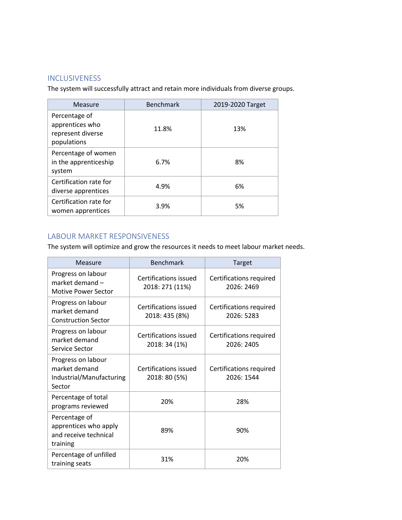#### **INCLUSIVENESS**

The system will successfully attract and retain more individuals from diverse groups.

| Measure                                                              | <b>Benchmark</b> | 2019-2020 Target |
|----------------------------------------------------------------------|------------------|------------------|
| Percentage of<br>apprentices who<br>represent diverse<br>populations | 11.8%            | 13%              |
| Percentage of women<br>in the apprenticeship<br>system               | 6.7%             | 8%               |
| Certification rate for<br>diverse apprentices                        | 4.9%             | 6%               |
| Certification rate for<br>women apprentices                          | 3.9%             | 5%               |

## LABOUR MARKET RESPONSIVENESS

The system will optimize and grow the resources it needs to meet labour market needs.

| Measure                                                                     | <b>Benchmark</b>                         | Target                                |
|-----------------------------------------------------------------------------|------------------------------------------|---------------------------------------|
| Progress on labour<br>market demand -<br><b>Motive Power Sector</b>         | Certifications issued<br>2018: 271 (11%) | Certifications required<br>2026: 2469 |
| Progress on labour<br>market demand<br><b>Construction Sector</b>           | Certifications issued<br>2018: 435 (8%)  | Certifications required<br>2026: 5283 |
| Progress on labour<br>market demand<br>Service Sector                       | Certifications issued<br>2018: 34 (1%)   | Certifications required<br>2026: 2405 |
| Progress on labour<br>market demand<br>Industrial/Manufacturing<br>Sector   | Certifications issued<br>2018: 80 (5%)   | Certifications required<br>2026: 1544 |
| Percentage of total<br>programs reviewed                                    | 20%                                      | 28%                                   |
| Percentage of<br>apprentices who apply<br>and receive technical<br>training | 89%                                      | 90%                                   |
| Percentage of unfilled<br>training seats                                    | 31%                                      | 20%                                   |